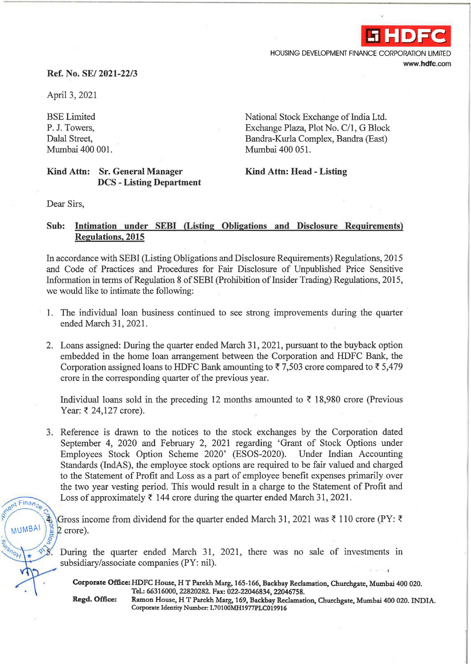

HOUSING DEVELOPMENT FINANCE CORPORATION LIMITED www.hdfc.com

## Ref. No. SE/ 2021-22/3

April 3, 2021

BSE Limited P. J. Towers, Dalal Street, Mumbai 400 001.

Exchange Plaza, Plot No. C/1, G Block Bandra-Kurla Complex, Bandra (East) Mumbai 400 051.

National Stock Exchange of India Ltd.

## Kind Attn: Sr. General Manager DCS - Listing Department

Kind Attn: Head - Listing

Dear Sirs,

## Sub: Intimation under SEBI (Listing Obligations and Disclosure Requirements) Regulations, 2015

In accordance with SEBI (Listing Obligations and Disclosure Requirements) Regulations, 2015 and Code of Practices and Procedures for Fair Disclosure of Unpublished Price Sensitive Information in terms of Regulation 8 of SEBI (Prohibition of Insider Trading) Regulations, 2015, we would like to intimate the following:

- 1. The individual loan business continued to see strong improvements during the quarter ended March 31, 2021.
- 2. Loans assigned: During the quarter ended March 31, 2021, pursuant to the buyback option embedded in the home loan arrangement between the Corporation and HDFC Bank, the Corporation assigned loans to HDFC Bank amounting to  $\overline{5}$  7,503 crore compared to  $\overline{5}$  5,479 crore in the corresponding quarter of the previous year.

Individual loans sold in the preceding 12 months amounted to  $\bar{\tau}$  18,980 crore (Previous Year: ₹ 24,127 crore).

3. Reference is drawn to the notices to the stock exchanges by the Corporation dated September 4, 2020 and February 2, 2021 regarding 'Grant of Stock Options under Employees Stock Option Scheme 2020' (ESOS-2020). Under Indian Accounting Standards (IndAS), the employee stock options are required to be fair valued and charged to the Statement of Profit and Loss as a part of employee benefit expenses primarily over the two year vesting period. This would result in a charge to the Statement of Profit and Loss of approximately  $\bar{\tau}$  144 crore during the quarter ended March 31, 2021.

Gross income from dividend for the quarter ended March 31, 2021 was  $\bar{\tau}$  110 crore (PY:  $\bar{\tau}$ )  $2$  crore).

During the quarter ended March 31, 2021, there was no sale of investments in subsidiary/associate companies (PY: nil).

Corporate Office: HDFC House, HT Parekh Marg, 165-166, Backbay Reclamation, Churchgate, Mumbai 400 020. Td.: 66316000, 22820282. Fax: 022-22046834, 22046758.

ant Finance

MUMBAI

Regd. Office: Ramon House, HT Parekh Marg, 169, Backbay Reclamation, Churchgate, Mumbai 400 020. INDIA. Corporate Identity Number: L70100MH1977PLC019916